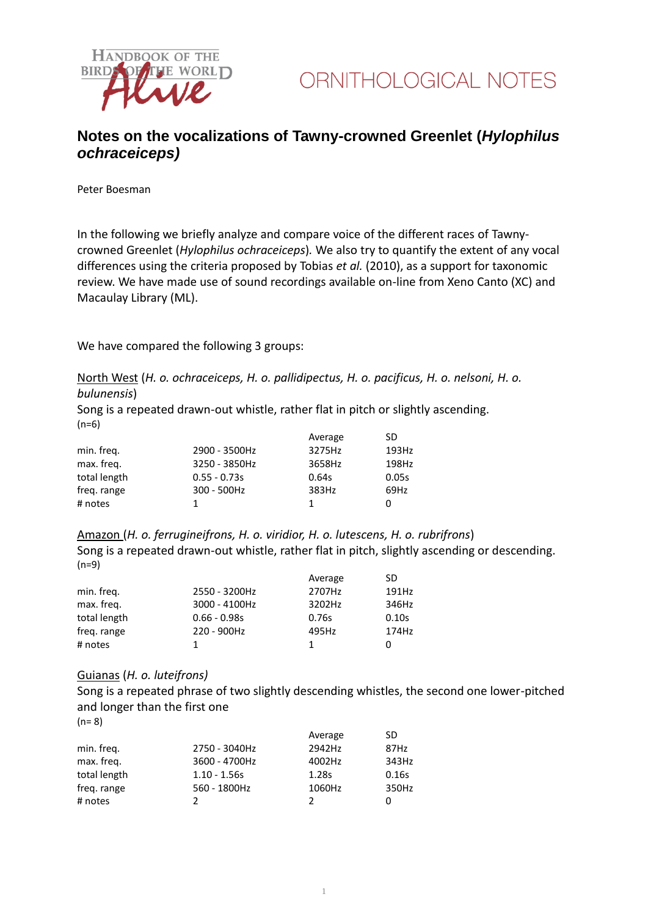

## **Notes on the vocalizations of Tawny-crowned Greenlet (***Hylophilus ochraceiceps)*

Peter Boesman

In the following we briefly analyze and compare voice of the different races of Tawnycrowned Greenlet (*Hylophilus ochraceiceps*)*.* We also try to quantify the extent of any vocal differences using the criteria proposed by Tobias *et al.* (2010), as a support for taxonomic review. We have made use of sound recordings available on-line from Xeno Canto (XC) and Macaulay Library (ML).

We have compared the following 3 groups:

North West (*H. o. ochraceiceps, H. o. pallidipectus, H. o. pacificus, H. o. nelsoni, H. o. bulunensis*)

Song is a repeated drawn-out whistle, rather flat in pitch or slightly ascending.  $(n=6)$ 

|              |                | Average | SD    |
|--------------|----------------|---------|-------|
| min. freg.   | 2900 - 3500Hz  | 3275Hz  | 193Hz |
| max. freg.   | 3250 - 3850Hz  | 3658Hz  | 198Hz |
| total length | $0.55 - 0.73s$ | 0.64s   | 0.05s |
| freg. range  | 300 - 500Hz    | 383Hz   | 69Hz  |
| # notes      |                |         | 0     |

Amazon (*H. o. ferrugineifrons, H. o. viridior, H. o. lutescens, H. o. rubrifrons*) Song is a repeated drawn-out whistle, rather flat in pitch, slightly ascending or descending. (n=9)

|              |                | Average | SD    |
|--------------|----------------|---------|-------|
| min. freq.   | 2550 - 3200Hz  | 2707Hz  | 191Hz |
| max. freq.   | 3000 - 4100Hz  | 3202Hz  | 346Hz |
| total length | $0.66 - 0.98s$ | 0.76s   | 0.10s |
| freg. range  | 220 - 900Hz    | 495Hz   | 174Hz |
| # notes      |                | 1.      |       |

## Guianas (*H. o. luteifrons)*

Song is a repeated phrase of two slightly descending whistles, the second one lower-pitched and longer than the first one

 $(n= 8)$ 

|                | Average | SD    |
|----------------|---------|-------|
| 2750 - 3040Hz  | 2942Hz  | 87Hz  |
| 3600 - 4700Hz  | 4002Hz  | 343Hz |
| $1.10 - 1.56s$ | 1.28s   | 0.16s |
| 560 - 1800Hz   | 1060Hz  | 350Hz |
|                | 2       |       |
|                |         |       |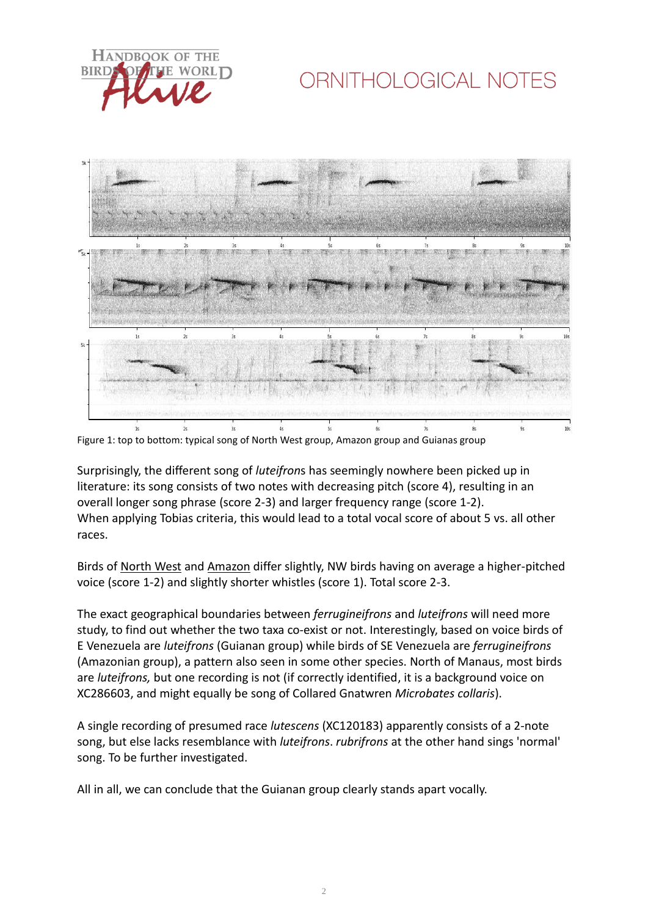

# ORNITHOLOGICAL NOTES



Figure 1: top to bottom: typical song of North West group, Amazon group and Guianas group

Surprisingly, the different song of *luteifron*s has seemingly nowhere been picked up in literature: its song consists of two notes with decreasing pitch (score 4), resulting in an overall longer song phrase (score 2-3) and larger frequency range (score 1-2). When applying Tobias criteria, this would lead to a total vocal score of about 5 vs. all other races.

Birds of North West and Amazon differ slightly, NW birds having on average a higher-pitched voice (score 1-2) and slightly shorter whistles (score 1). Total score 2-3.

The exact geographical boundaries between *ferrugineifrons* and *luteifrons* will need more study, to find out whether the two taxa co-exist or not. Interestingly, based on voice birds of E Venezuela are *luteifrons* (Guianan group) while birds of SE Venezuela are *ferrugineifrons* (Amazonian group), a pattern also seen in some other species. North of Manaus, most birds are *luteifrons,* but one recording is not (if correctly identified, it is a background voice on XC286603, and might equally be song of Collared Gnatwren *Microbates collaris*).

A single recording of presumed race *lutescens* (XC120183) apparently consists of a 2-note song, but else lacks resemblance with *luteifrons*. *rubrifrons* at the other hand sings 'normal' song. To be further investigated.

All in all, we can conclude that the Guianan group clearly stands apart vocally.